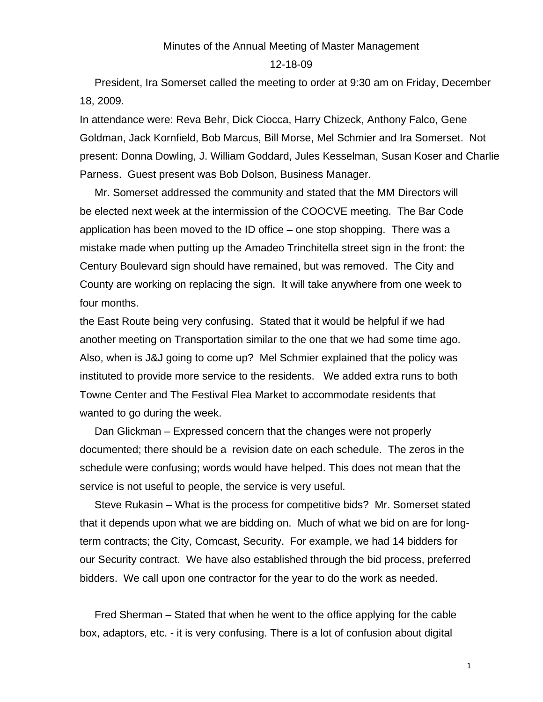## Minutes of the Annual Meeting of Master Management

12-18-09

 President, Ira Somerset called the meeting to order at 9:30 am on Friday, December 18, 2009.

In attendance were: Reva Behr, Dick Ciocca, Harry Chizeck, Anthony Falco, Gene Goldman, Jack Kornfield, Bob Marcus, Bill Morse, Mel Schmier and Ira Somerset. Not present: Donna Dowling, J. William Goddard, Jules Kesselman, Susan Koser and Charlie Parness. Guest present was Bob Dolson, Business Manager.

 Mr. Somerset addressed the community and stated that the MM Directors will be elected next week at the intermission of the COOCVE meeting. The Bar Code application has been moved to the ID office – one stop shopping. There was a mistake made when putting up the Amadeo Trinchitella street sign in the front: the Century Boulevard sign should have remained, but was removed. The City and County are working on replacing the sign. It will take anywhere from one week to four months.

the East Route being very confusing. Stated that it would be helpful if we had another meeting on Transportation similar to the one that we had some time ago. Also, when is J&J going to come up? Mel Schmier explained that the policy was instituted to provide more service to the residents. We added extra runs to both Towne Center and The Festival Flea Market to accommodate residents that wanted to go during the week.

 Dan Glickman – Expressed concern that the changes were not properly documented; there should be a revision date on each schedule. The zeros in the schedule were confusing; words would have helped. This does not mean that the service is not useful to people, the service is very useful.

 Steve Rukasin – What is the process for competitive bids? Mr. Somerset stated that it depends upon what we are bidding on. Much of what we bid on are for longterm contracts; the City, Comcast, Security. For example, we had 14 bidders for our Security contract. We have also established through the bid process, preferred bidders. We call upon one contractor for the year to do the work as needed.

 Fred Sherman – Stated that when he went to the office applying for the cable box, adaptors, etc. - it is very confusing. There is a lot of confusion about digital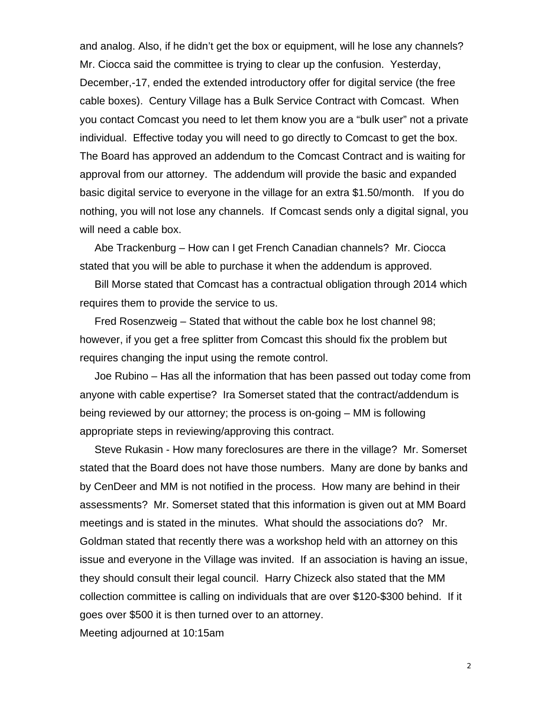and analog. Also, if he didn't get the box or equipment, will he lose any channels? Mr. Ciocca said the committee is trying to clear up the confusion. Yesterday, December,-17, ended the extended introductory offer for digital service (the free cable boxes). Century Village has a Bulk Service Contract with Comcast. When you contact Comcast you need to let them know you are a "bulk user" not a private individual. Effective today you will need to go directly to Comcast to get the box. The Board has approved an addendum to the Comcast Contract and is waiting for approval from our attorney. The addendum will provide the basic and expanded basic digital service to everyone in the village for an extra \$1.50/month. If you do nothing, you will not lose any channels. If Comcast sends only a digital signal, you will need a cable box.

 Abe Trackenburg – How can I get French Canadian channels? Mr. Ciocca stated that you will be able to purchase it when the addendum is approved.

 Bill Morse stated that Comcast has a contractual obligation through 2014 which requires them to provide the service to us.

 Fred Rosenzweig – Stated that without the cable box he lost channel 98; however, if you get a free splitter from Comcast this should fix the problem but requires changing the input using the remote control.

 Joe Rubino – Has all the information that has been passed out today come from anyone with cable expertise? Ira Somerset stated that the contract/addendum is being reviewed by our attorney; the process is on-going – MM is following appropriate steps in reviewing/approving this contract.

 Steve Rukasin - How many foreclosures are there in the village? Mr. Somerset stated that the Board does not have those numbers. Many are done by banks and by CenDeer and MM is not notified in the process. How many are behind in their assessments? Mr. Somerset stated that this information is given out at MM Board meetings and is stated in the minutes. What should the associations do? Mr. Goldman stated that recently there was a workshop held with an attorney on this issue and everyone in the Village was invited. If an association is having an issue, they should consult their legal council. Harry Chizeck also stated that the MM collection committee is calling on individuals that are over \$120-\$300 behind. If it goes over \$500 it is then turned over to an attorney.

Meeting adjourned at 10:15am